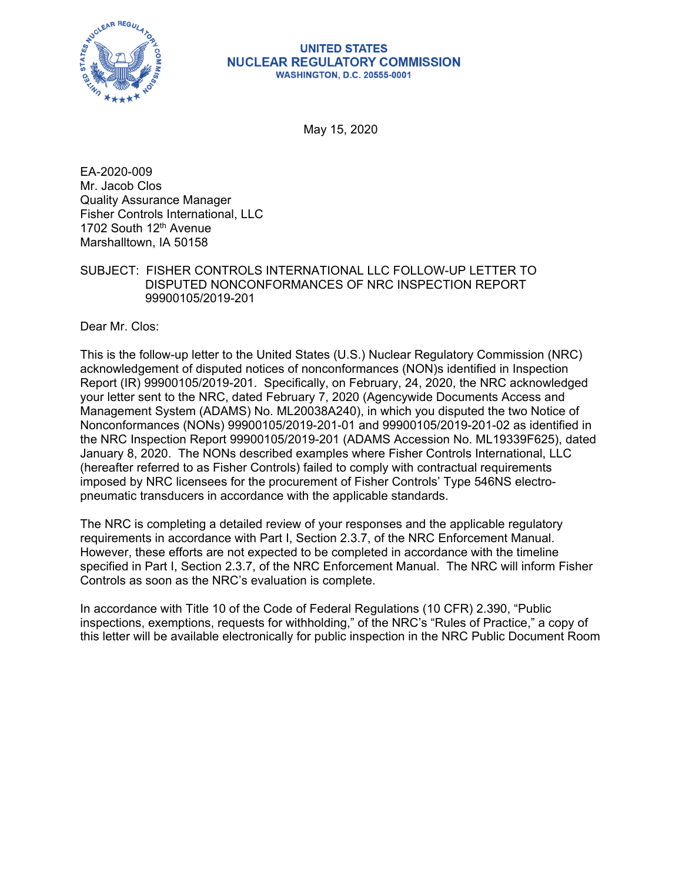

#### **UNITED STATES NUCLEAR REGULATORY COMMISSION WASHINGTON, D.C. 20555-0001**

May 15, 2020

EA-2020-009 Mr. Jacob Clos Quality Assurance Manager Fisher Controls International, LLC 1702 South 12<sup>th</sup> Avenue Marshalltown, IA 50158

## SUBJECT: FISHER CONTROLS INTERNATIONAL LLC FOLLOW-UP LETTER TO DISPUTED NONCONFORMANCES OF NRC INSPECTION REPORT 99900105/2019-201

Dear Mr. Clos:

This is the follow-up letter to the United States (U.S.) Nuclear Regulatory Commission (NRC) acknowledgement of disputed notices of nonconformances (NON)s identified in Inspection Report (IR) 99900105/2019-201. Specifically, on February, 24, 2020, the NRC acknowledged your letter sent to the NRC, dated February 7, 2020 (Agencywide Documents Access and Management System (ADAMS) No. ML20038A240), in which you disputed the two Notice of Nonconformances (NONs) 99900105/2019-201-01 and 99900105/2019-201-02 as identified in the NRC Inspection Report 99900105/2019-201 (ADAMS Accession No. ML19339F625), dated January 8, 2020. The NONs described examples where Fisher Controls International, LLC (hereafter referred to as Fisher Controls) failed to comply with contractual requirements imposed by NRC licensees for the procurement of Fisher Controls' Type 546NS electropneumatic transducers in accordance with the applicable standards.

The NRC is completing a detailed review of your responses and the applicable regulatory requirements in accordance with Part I, Section 2.3.7, of the NRC Enforcement Manual. However, these efforts are not expected to be completed in accordance with the timeline specified in Part I, Section 2.3.7, of the NRC Enforcement Manual. The NRC will inform Fisher Controls as soon as the NRC's evaluation is complete.

In accordance with Title 10 of the Code of Federal Regulations (10 CFR) 2.390, "Public inspections, exemptions, requests for withholding," of the NRC's "Rules of Practice," a copy of this letter will be available electronically for public inspection in the NRC Public Document Room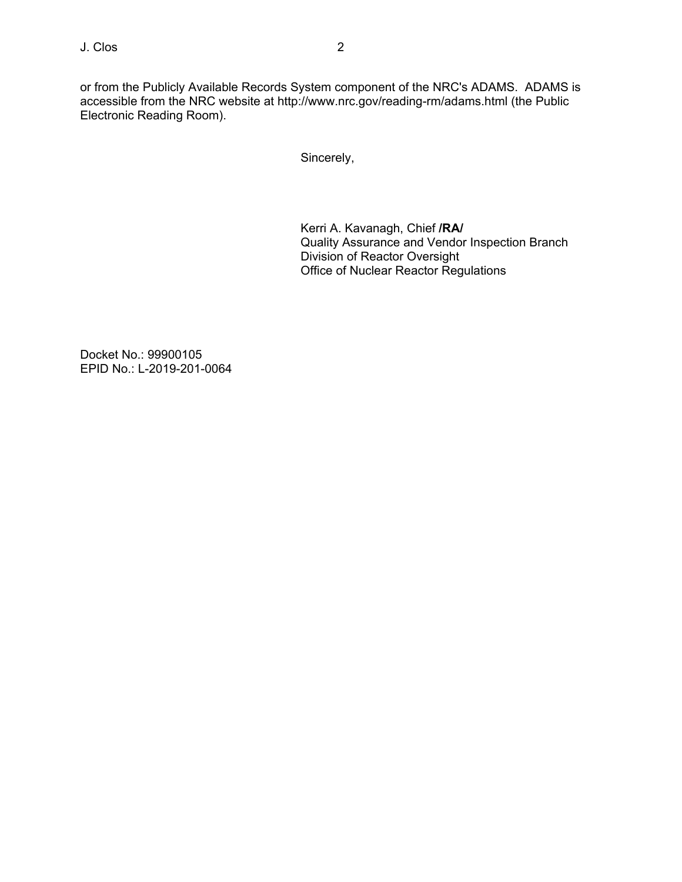or from the Publicly Available Records System component of the NRC's ADAMS. ADAMS is accessible from the NRC website at http://www.nrc.gov/reading-rm/adams.html (the Public Electronic Reading Room).

Sincerely,

Kerri A. Kavanagh, Chief **/RA/**  Quality Assurance and Vendor Inspection Branch Division of Reactor Oversight Office of Nuclear Reactor Regulations

Docket No.: 99900105 EPID No.: L-2019-201-0064